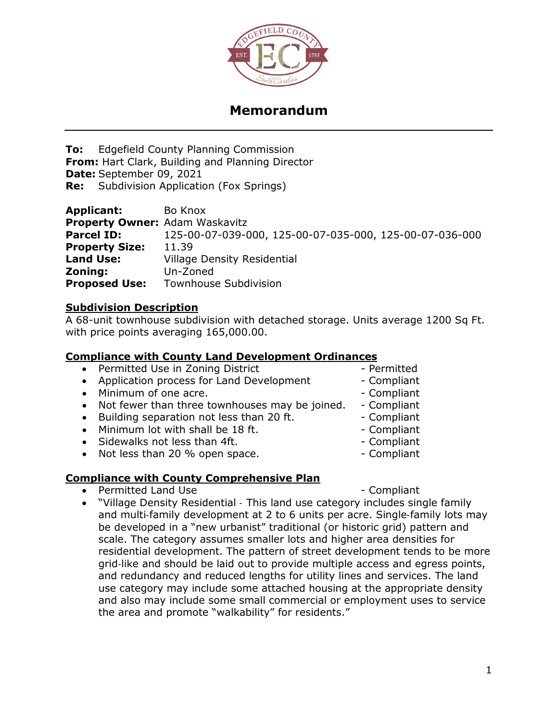

### **Memorandum**

**To:** Edgefield County Planning Commission **From:** Hart Clark, Building and Planning Director **Date:** September 09, 2021 **Re:** Subdivision Application (Fox Springs)

| <b>Applicant:</b>                     | Bo Knox                                                 |
|---------------------------------------|---------------------------------------------------------|
| <b>Property Owner: Adam Waskavitz</b> |                                                         |
| <b>Parcel ID:</b>                     | 125-00-07-039-000, 125-00-07-035-000, 125-00-07-036-000 |
| <b>Property Size:</b>                 | 11.39                                                   |
| <b>Land Use:</b>                      | <b>Village Density Residential</b>                      |
| Zoning:                               | Un-Zoned                                                |
| <b>Proposed Use:</b>                  | <b>Townhouse Subdivision</b>                            |

#### **Subdivision Description**

A 68-unit townhouse subdivision with detached storage. Units average 1200 Sq Ft. with price points averaging 165,000.00.

#### **Compliance with County Land Development Ordinances**

• Permitted Use in Zoning District - Permitted • Application process for Land Development - Compliant • Minimum of one acre.  $\blacksquare$ • Not fewer than three townhouses may be joined. - Compliant • Building separation not less than 20 ft. The School Compliant • Minimum lot with shall be 18 ft. The compliant • Sidewalks not less than 4ft. The compliant • Not less than 20 % open space.

#### **Compliance with County Comprehensive Plan**

Permitted Land Use - Compliant

• "Village Density Residential ‐ This land use category includes single family and multi-family development at 2 to 6 units per acre. Single-family lots may be developed in a "new urbanist" traditional (or historic grid) pattern and scale. The category assumes smaller lots and higher area densities for residential development. The pattern of street development tends to be more grid‐like and should be laid out to provide multiple access and egress points, and redundancy and reduced lengths for utility lines and services. The land use category may include some attached housing at the appropriate density and also may include some small commercial or employment uses to service the area and promote "walkability" for residents."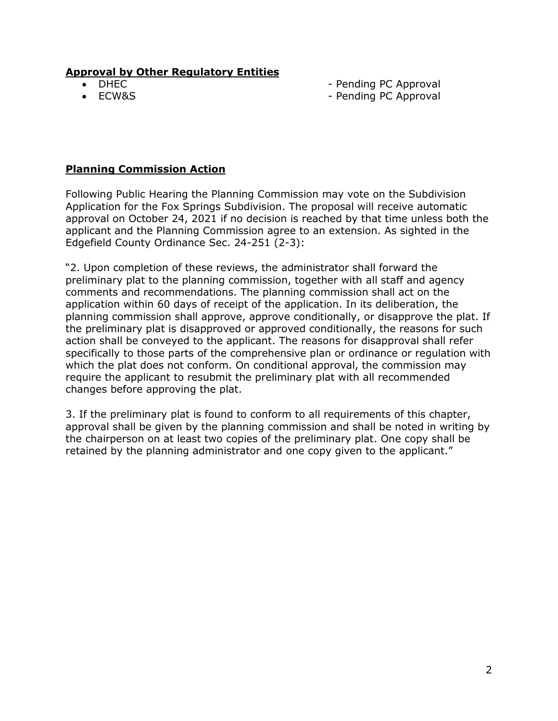#### **Approval by Other Regulatory Entities**

- 
- 

• DHEC - Pending PC Approval

• ECW&S - Pending PC Approval

#### **Planning Commission Action**

Following Public Hearing the Planning Commission may vote on the Subdivision Application for the Fox Springs Subdivision. The proposal will receive automatic approval on October 24, 2021 if no decision is reached by that time unless both the applicant and the Planning Commission agree to an extension. As sighted in the Edgefield County Ordinance Sec. 24-251 (2-3):

"2. Upon completion of these reviews, the administrator shall forward the preliminary plat to the planning commission, together with all staff and agency comments and recommendations. The planning commission shall act on the application within 60 days of receipt of the application. In its deliberation, the planning commission shall approve, approve conditionally, or disapprove the plat. If the preliminary plat is disapproved or approved conditionally, the reasons for such action shall be conveyed to the applicant. The reasons for disapproval shall refer specifically to those parts of the comprehensive plan or ordinance or regulation with which the plat does not conform. On conditional approval, the commission may require the applicant to resubmit the preliminary plat with all recommended changes before approving the plat.

3. If the preliminary plat is found to conform to all requirements of this chapter, approval shall be given by the planning commission and shall be noted in writing by the chairperson on at least two copies of the preliminary plat. One copy shall be retained by the planning administrator and one copy given to the applicant."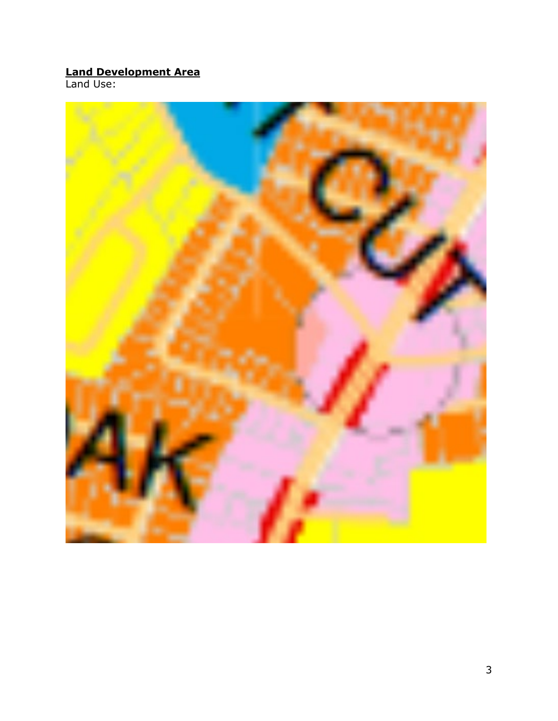#### **Land Development Area**

Land Use:

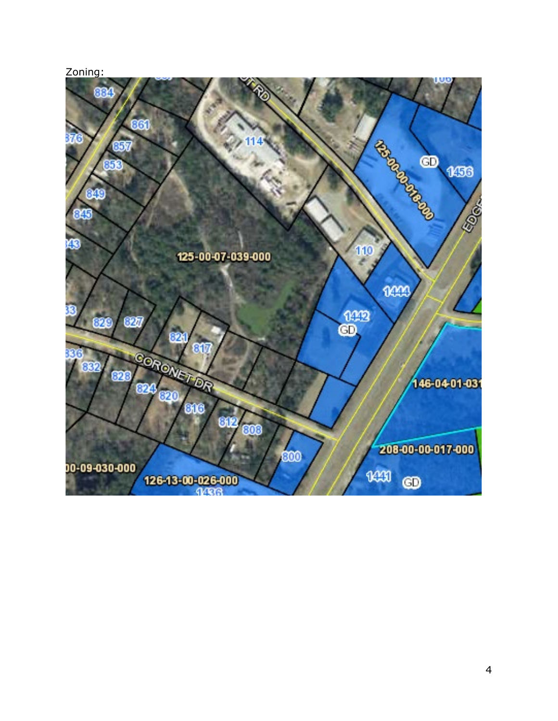## Zoning: